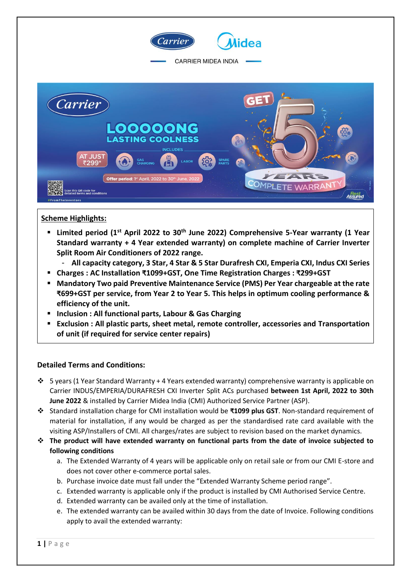

## **Scheme Highlights:**

- **Limited period (1st April 2022 to 30th June 2022) Comprehensive 5-Year warranty (1 Year Standard warranty + 4 Year extended warranty) on complete machine of Carrier Inverter Split Room Air Conditioners of 2022 range.**
	- **All capacity category, 3 Star, 4 Star & 5 Star Durafresh CXI, Emperia CXI, Indus CXI Series**
- **Charges : AC Installation ₹1099+GST, One Time Registration Charges : ₹299+GST**
- **Mandatory Two paid Preventive Maintenance Service (PMS) Per Year chargeable at the rate ₹699+GST per service, from Year 2 to Year 5. This helps in optimum cooling performance & efficiency of the unit.**
- **Inclusion : All functional parts, Labour & Gas Charging**
- **Exclusion : All plastic parts, sheet metal, remote controller, accessories and Transportation of unit (if required for service center repairs)**

## **Detailed Terms and Conditions:**

- 5 years (1 Year Standard Warranty + 4 Years extended warranty) comprehensive warranty is applicable on Carrier INDUS/EMPERIA/DURAFRESH CXI Inverter Split ACs purchased **between 1st April, 2022 to 30th June 2022** & installed by Carrier Midea India (CMI) Authorized Service Partner (ASP).
- Standard installation charge for CMI installation would be **₹1099 plus GST**. Non-standard requirement of material for installation, if any would be charged as per the standardised rate card available with the visiting ASP/Installers of CMI. All charges/rates are subject to revision based on the market dynamics.
- **The product will have extended warranty on functional parts from the date of invoice subjected to following conditions** 
	- a. The Extended Warranty of 4 years will be applicable only on retail sale or from our CMI E-store and does not cover other e-commerce portal sales.
	- b. Purchase invoice date must fall under the "Extended Warranty Scheme period range".
	- c. Extended warranty is applicable only if the product is installed by CMI Authorised Service Centre.
	- d. Extended warranty can be availed only at the time of installation.
	- e. The extended warranty can be availed within 30 days from the date of Invoice. Following conditions apply to avail the extended warranty: